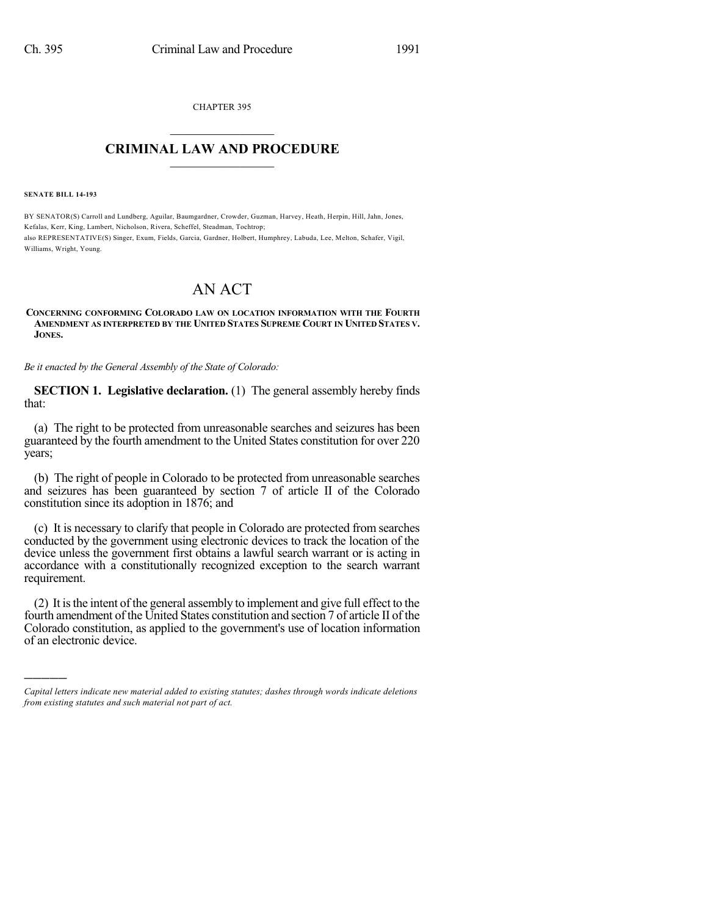CHAPTER 395  $\overline{\phantom{a}}$  . The set of the set of the set of the set of the set of the set of the set of the set of the set of the set of the set of the set of the set of the set of the set of the set of the set of the set of the set o

## **CRIMINAL LAW AND PROCEDURE**  $\frac{1}{2}$  ,  $\frac{1}{2}$  ,  $\frac{1}{2}$  ,  $\frac{1}{2}$  ,  $\frac{1}{2}$  ,  $\frac{1}{2}$  ,  $\frac{1}{2}$

**SENATE BILL 14-193**

)))))

BY SENATOR(S) Carroll and Lundberg, Aguilar, Baumgardner, Crowder, Guzman, Harvey, Heath, Herpin, Hill, Jahn, Jones, Kefalas, Kerr, King, Lambert, Nicholson, Rivera, Scheffel, Steadman, Tochtrop; also REPRESENTATIVE(S) Singer, Exum, Fields, Garcia, Gardner, Holbert, Humphrey, Labuda, Lee, Melton, Schafer, Vigil, Williams, Wright, Young.

## AN ACT

## **CONCERNING CONFORMING COLORADO LAW ON LOCATION INFORMATION WITH THE FOURTH AMENDMENT AS INTERPRETED BY THE UNITED STATES SUPREME COURT IN UNITED STATES V. JONES.**

*Be it enacted by the General Assembly of the State of Colorado:*

**SECTION 1. Legislative declaration.** (1) The general assembly hereby finds that:

(a) The right to be protected from unreasonable searches and seizures has been guaranteed by the fourth amendment to the United States constitution for over 220 years;

(b) The right of people in Colorado to be protected from unreasonable searches and seizures has been guaranteed by section 7 of article II of the Colorado constitution since its adoption in 1876; and

(c) It is necessary to clarify that people in Colorado are protected from searches conducted by the government using electronic devices to track the location of the device unless the government first obtains a lawful search warrant or is acting in accordance with a constitutionally recognized exception to the search warrant requirement.

(2) It isthe intent of the general assembly to implement and give full effect to the fourth amendment of the United States constitution and section 7 of article II of the Colorado constitution, as applied to the government's use of location information of an electronic device.

*Capital letters indicate new material added to existing statutes; dashes through words indicate deletions from existing statutes and such material not part of act.*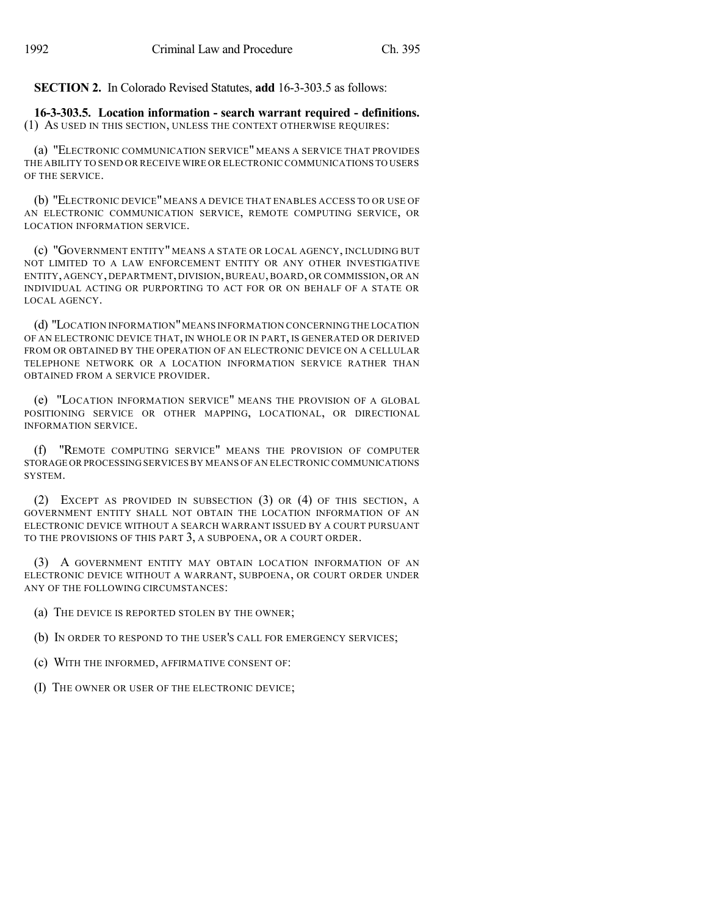**SECTION 2.** In Colorado Revised Statutes, **add** 16-3-303.5 as follows:

**16-3-303.5. Location information - search warrant required - definitions.** (1) AS USED IN THIS SECTION, UNLESS THE CONTEXT OTHERWISE REQUIRES:

(a) "ELECTRONIC COMMUNICATION SERVICE" MEANS A SERVICE THAT PROVIDES THE ABILITY TO SEND OR RECEIVE WIRE OR ELECTRONIC COMMUNICATIONS TO USERS OF THE SERVICE.

(b) "ELECTRONIC DEVICE" MEANS A DEVICE THAT ENABLES ACCESS TO OR USE OF AN ELECTRONIC COMMUNICATION SERVICE, REMOTE COMPUTING SERVICE, OR LOCATION INFORMATION SERVICE.

(c) "GOVERNMENT ENTITY" MEANS A STATE OR LOCAL AGENCY, INCLUDING BUT NOT LIMITED TO A LAW ENFORCEMENT ENTITY OR ANY OTHER INVESTIGATIVE ENTITY, AGENCY, DEPARTMENT, DIVISION,BUREAU,BOARD, OR COMMISSION, OR AN INDIVIDUAL ACTING OR PURPORTING TO ACT FOR OR ON BEHALF OF A STATE OR LOCAL AGENCY.

(d) "LOCATION INFORMATION"MEANS INFORMATION CONCERNING THE LOCATION OF AN ELECTRONIC DEVICE THAT, IN WHOLE OR IN PART, IS GENERATED OR DERIVED FROM OR OBTAINED BY THE OPERATION OF AN ELECTRONIC DEVICE ON A CELLULAR TELEPHONE NETWORK OR A LOCATION INFORMATION SERVICE RATHER THAN OBTAINED FROM A SERVICE PROVIDER.

(e) "LOCATION INFORMATION SERVICE" MEANS THE PROVISION OF A GLOBAL POSITIONING SERVICE OR OTHER MAPPING, LOCATIONAL, OR DIRECTIONAL INFORMATION SERVICE.

(f) "REMOTE COMPUTING SERVICE" MEANS THE PROVISION OF COMPUTER STORAGE OR PROCESSING SERVICES BY MEANS OF AN ELECTRONIC COMMUNICATIONS SYSTEM.

(2) EXCEPT AS PROVIDED IN SUBSECTION (3) OR (4) OF THIS SECTION, A GOVERNMENT ENTITY SHALL NOT OBTAIN THE LOCATION INFORMATION OF AN ELECTRONIC DEVICE WITHOUT A SEARCH WARRANT ISSUED BY A COURT PURSUANT TO THE PROVISIONS OF THIS PART 3, A SUBPOENA, OR A COURT ORDER.

(3) A GOVERNMENT ENTITY MAY OBTAIN LOCATION INFORMATION OF AN ELECTRONIC DEVICE WITHOUT A WARRANT, SUBPOENA, OR COURT ORDER UNDER ANY OF THE FOLLOWING CIRCUMSTANCES:

- (a) THE DEVICE IS REPORTED STOLEN BY THE OWNER;
- (b) IN ORDER TO RESPOND TO THE USER'S CALL FOR EMERGENCY SERVICES;
- (c) WITH THE INFORMED, AFFIRMATIVE CONSENT OF:
- (I) THE OWNER OR USER OF THE ELECTRONIC DEVICE;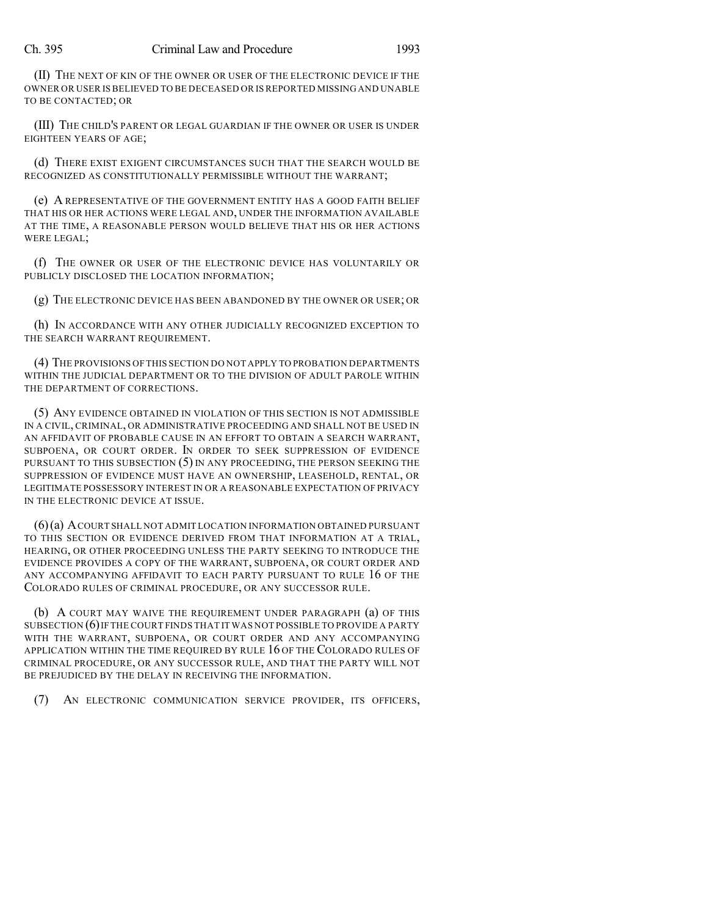(II) THE NEXT OF KIN OF THE OWNER OR USER OF THE ELECTRONIC DEVICE IF THE OWNER OR USER IS BELIEVED TO BE DECEASED OR IS REPORTED MISSING AND UNABLE TO BE CONTACTED; OR

(III) THE CHILD'S PARENT OR LEGAL GUARDIAN IF THE OWNER OR USER IS UNDER EIGHTEEN YEARS OF AGE;

(d) THERE EXIST EXIGENT CIRCUMSTANCES SUCH THAT THE SEARCH WOULD BE RECOGNIZED AS CONSTITUTIONALLY PERMISSIBLE WITHOUT THE WARRANT;

(e) A REPRESENTATIVE OF THE GOVERNMENT ENTITY HAS A GOOD FAITH BELIEF THAT HIS OR HER ACTIONS WERE LEGAL AND, UNDER THE INFORMATION AVAILABLE AT THE TIME, A REASONABLE PERSON WOULD BELIEVE THAT HIS OR HER ACTIONS WERE LEGAL;

(f) THE OWNER OR USER OF THE ELECTRONIC DEVICE HAS VOLUNTARILY OR PUBLICLY DISCLOSED THE LOCATION INFORMATION;

(g) THE ELECTRONIC DEVICE HAS BEEN ABANDONED BY THE OWNER OR USER; OR

(h) IN ACCORDANCE WITH ANY OTHER JUDICIALLY RECOGNIZED EXCEPTION TO THE SEARCH WARRANT REQUIREMENT.

(4) THE PROVISIONS OFTHIS SECTION DO NOT APPLY TO PROBATION DEPARTMENTS WITHIN THE JUDICIAL DEPARTMENT OR TO THE DIVISION OF ADULT PAROLE WITHIN THE DEPARTMENT OF CORRECTIONS.

(5) ANY EVIDENCE OBTAINED IN VIOLATION OF THIS SECTION IS NOT ADMISSIBLE IN A CIVIL, CRIMINAL, OR ADMINISTRATIVE PROCEEDING AND SHALL NOT BE USED IN AN AFFIDAVIT OF PROBABLE CAUSE IN AN EFFORT TO OBTAIN A SEARCH WARRANT, SUBPOENA, OR COURT ORDER. IN ORDER TO SEEK SUPPRESSION OF EVIDENCE PURSUANT TO THIS SUBSECTION  $(5)$  IN ANY PROCEEDING, THE PERSON SEEKING THE SUPPRESSION OF EVIDENCE MUST HAVE AN OWNERSHIP, LEASEHOLD, RENTAL, OR LEGITIMATE POSSESSORY INTEREST IN OR A REASONABLE EXPECTATION OF PRIVACY IN THE ELECTRONIC DEVICE AT ISSUE.

(6)(a) ACOURT SHALL NOT ADMIT LOCATION INFORMATION OBTAINED PURSUANT TO THIS SECTION OR EVIDENCE DERIVED FROM THAT INFORMATION AT A TRIAL, HEARING, OR OTHER PROCEEDING UNLESS THE PARTY SEEKING TO INTRODUCE THE EVIDENCE PROVIDES A COPY OF THE WARRANT, SUBPOENA, OR COURT ORDER AND ANY ACCOMPANYING AFFIDAVIT TO EACH PARTY PURSUANT TO RULE 16 OF THE COLORADO RULES OF CRIMINAL PROCEDURE, OR ANY SUCCESSOR RULE.

(b) A COURT MAY WAIVE THE REQUIREMENT UNDER PARAGRAPH (a) OF THIS SUBSECTION  $(6)$  IF THE COURT FINDS THAT IT WAS NOT POSSIBLE TO PROVIDE A PARTY WITH THE WARRANT, SUBPOENA, OR COURT ORDER AND ANY ACCOMPANYING APPLICATION WITHIN THE TIME REQUIRED BY RULE 16 OF THE COLORADO RULES OF CRIMINAL PROCEDURE, OR ANY SUCCESSOR RULE, AND THAT THE PARTY WILL NOT BE PREJUDICED BY THE DELAY IN RECEIVING THE INFORMATION.

(7) AN ELECTRONIC COMMUNICATION SERVICE PROVIDER, ITS OFFICERS,